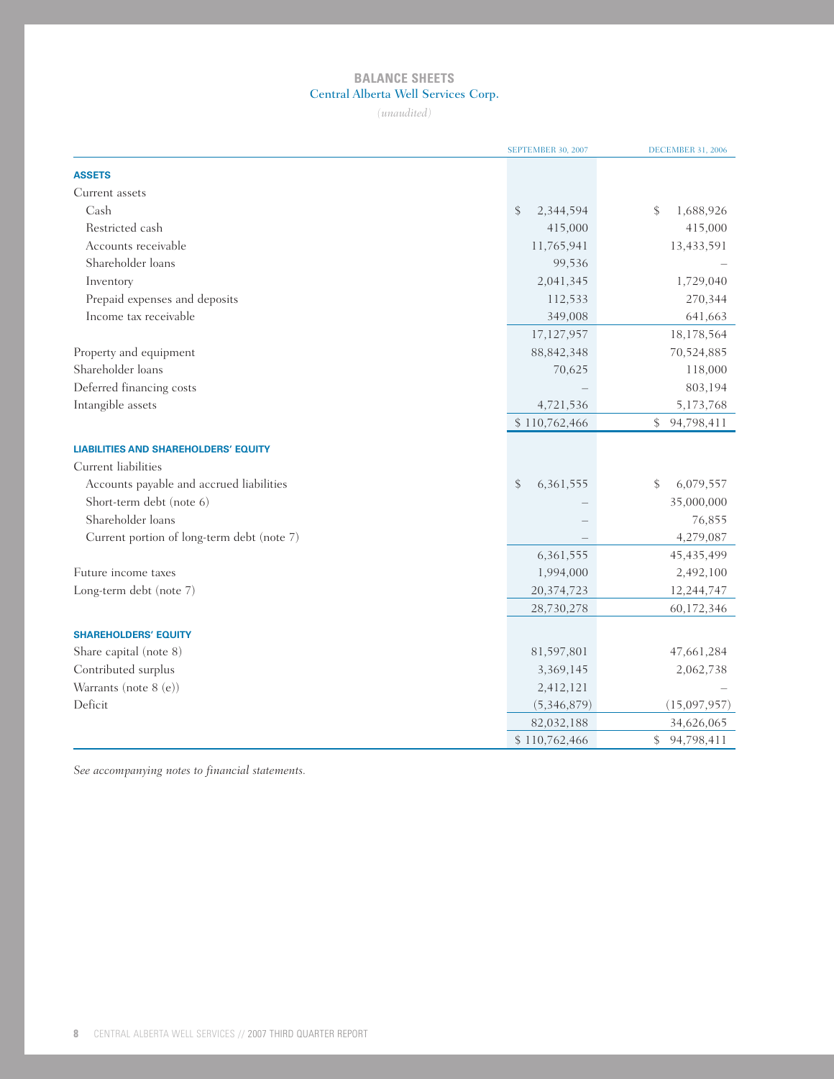# **BALANCE SHEETS** Central Alberta Well Services Corp.

*(unaudited)*

|                                             | SEPTEMBER 30, 2007 | <b>DECEMBER 31, 2006</b> |
|---------------------------------------------|--------------------|--------------------------|
| <b>ASSETS</b>                               |                    |                          |
| Current assets                              |                    |                          |
| Cash                                        | \$<br>2,344,594    | \$<br>1,688,926          |
| Restricted cash                             | 415,000            | 415,000                  |
| Accounts receivable                         | 11,765,941         | 13,433,591               |
| Shareholder loans                           | 99,536             |                          |
| Inventory                                   | 2,041,345          | 1,729,040                |
| Prepaid expenses and deposits               | 112,533            | 270,344                  |
| Income tax receivable                       | 349,008            | 641,663                  |
|                                             | 17,127,957         | 18,178,564               |
| Property and equipment                      | 88, 842, 348       | 70,524,885               |
| Shareholder loans                           | 70,625             | 118,000                  |
| Deferred financing costs                    |                    | 803,194                  |
| Intangible assets                           | 4,721,536          | 5,173,768                |
|                                             | \$110,762,466      | 94,798,411<br>\$         |
| <b>LIABILITIES AND SHAREHOLDERS' EQUITY</b> |                    |                          |
| Current liabilities                         |                    |                          |
| Accounts payable and accrued liabilities    | \$<br>6,361,555    | \$<br>6,079,557          |
| Short-term debt (note 6)                    |                    | 35,000,000               |
| Shareholder loans                           |                    | 76,855                   |
| Current portion of long-term debt (note 7)  |                    | 4,279,087                |
|                                             | 6,361,555          | 45, 435, 499             |
| Future income taxes                         | 1,994,000          | 2,492,100                |
| Long-term debt (note 7)                     | 20,374,723         | 12,244,747               |
|                                             | 28,730,278         | 60,172,346               |
|                                             |                    |                          |
| <b>SHAREHOLDERS' EQUITY</b>                 |                    |                          |
| Share capital (note 8)                      | 81,597,801         | 47,661,284               |
| Contributed surplus                         | 3,369,145          | 2,062,738                |
| Warrants (note 8 (e))                       | 2,412,121          |                          |
| Deficit                                     | (5,346,879)        | (15,097,957)             |
|                                             | 82,032,188         | 34,626,065               |
|                                             | \$110,762,466      | \$<br>94,798,411         |

*See accompanying notes to financial statements.*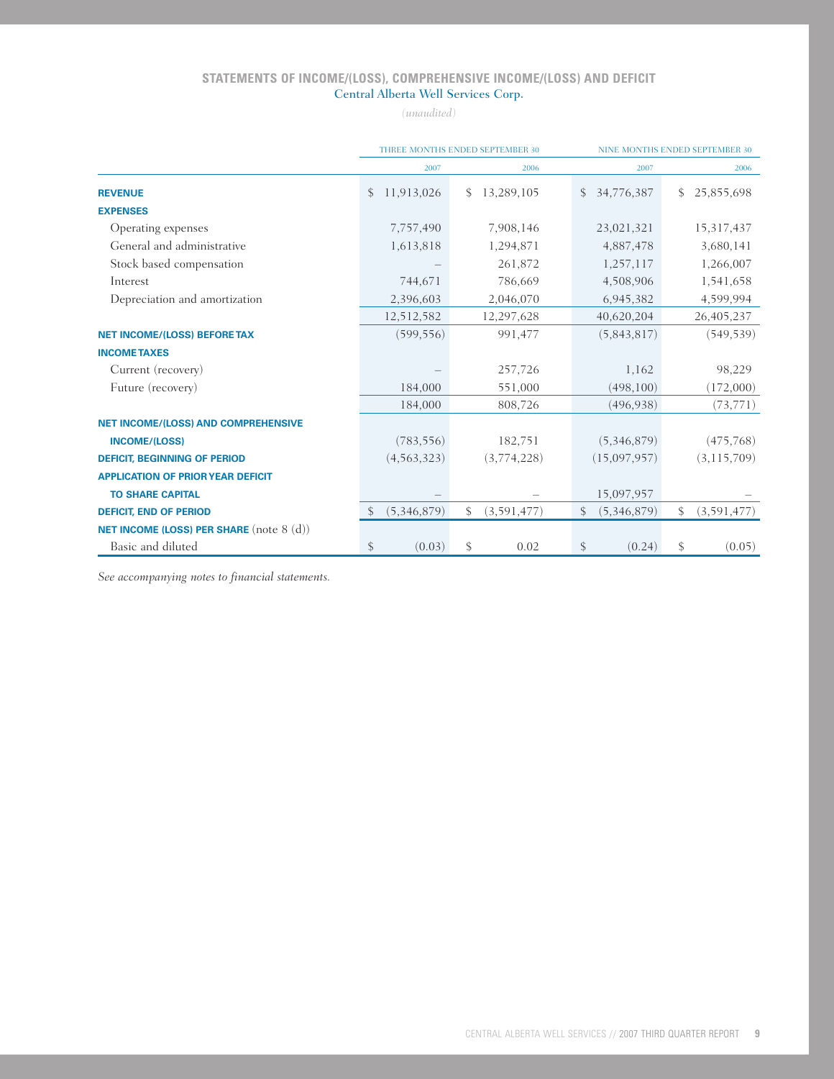# **STATEMENTS OF INCOME/(LOSS), COMPREHENSIVE INCOME/(LOSS) AND DEFICIT** Central Alberta Well Services Corp.

*(unaudited)*

|                                                   |              |               |     | THREE MONTHS ENDED SEPTEMBER 30 | <b>NINE MONTHS ENDED SEPTEMBER 30</b> |              |    |               |
|---------------------------------------------------|--------------|---------------|-----|---------------------------------|---------------------------------------|--------------|----|---------------|
|                                                   |              | 2007          |     | 2006                            |                                       | 2007         |    | 2006          |
| <b>REVENUE</b>                                    | $\mathbb{S}$ | 11,913,026    | \$. | 13,289,105                      | $\mathcal{S}$                         | 34,776,387   | S  | 25,855,698    |
| <b>EXPENSES</b>                                   |              |               |     |                                 |                                       |              |    |               |
| Operating expenses                                |              | 7,757,490     |     | 7,908,146                       |                                       | 23,021,321   |    | 15,317,437    |
| General and administrative                        |              | 1,613,818     |     | 1,294,871                       |                                       | 4,887,478    |    | 3,680,141     |
| Stock based compensation                          |              |               |     | 261,872                         |                                       | 1,257,117    |    | 1,266,007     |
| Interest                                          |              | 744,671       |     | 786,669                         |                                       | 4,508,906    |    | 1,541,658     |
| Depreciation and amortization                     |              | 2,396,603     |     | 2,046,070                       |                                       | 6,945,382    |    | 4,599,994     |
|                                                   |              | 12,512,582    |     | 12,297,628                      |                                       | 40,620,204   |    | 26,405,237    |
| <b>NET INCOME/(LOSS) BEFORE TAX</b>               |              | (599, 556)    |     | 991,477                         |                                       | (5,843,817)  |    | (549, 539)    |
| <b>INCOME TAXES</b>                               |              |               |     |                                 |                                       |              |    |               |
| Current (recovery)                                |              |               |     | 257,726                         |                                       | 1,162        |    | 98,229        |
| Future (recovery)                                 |              | 184,000       |     | 551,000                         |                                       | (498, 100)   |    | (172,000)     |
|                                                   |              | 184,000       |     | 808,726                         |                                       | (496, 938)   |    | (73, 771)     |
| <b>NET INCOME/(LOSS) AND COMPREHENSIVE</b>        |              |               |     |                                 |                                       |              |    |               |
| <b>INCOME/(LOSS)</b>                              |              | (783, 556)    |     | 182,751                         |                                       | (5,346,879)  |    | (475, 768)    |
| <b>DEFICIT, BEGINNING OF PERIOD</b>               |              | (4, 563, 323) |     | (3,774,228)                     |                                       | (15,097,957) |    | (3, 115, 709) |
| <b>APPLICATION OF PRIOR YEAR DEFICIT</b>          |              |               |     |                                 |                                       |              |    |               |
| <b>TO SHARE CAPITAL</b>                           |              |               |     |                                 |                                       | 15,097,957   |    |               |
| <b>DEFICIT, END OF PERIOD</b>                     |              | (5,346,879)   | \$  | (3,591,477)                     | \$                                    | (5,346,879)  | \$ | (3, 591, 477) |
| <b>NET INCOME (LOSS) PER SHARE</b> (note $8$ (d)) |              |               |     |                                 |                                       |              |    |               |
| Basic and diluted                                 | \$           | (0.03)        | \$  | 0.02                            | \$                                    | (0.24)       | \$ | (0.05)        |

*See accompanying notes to financial statements.*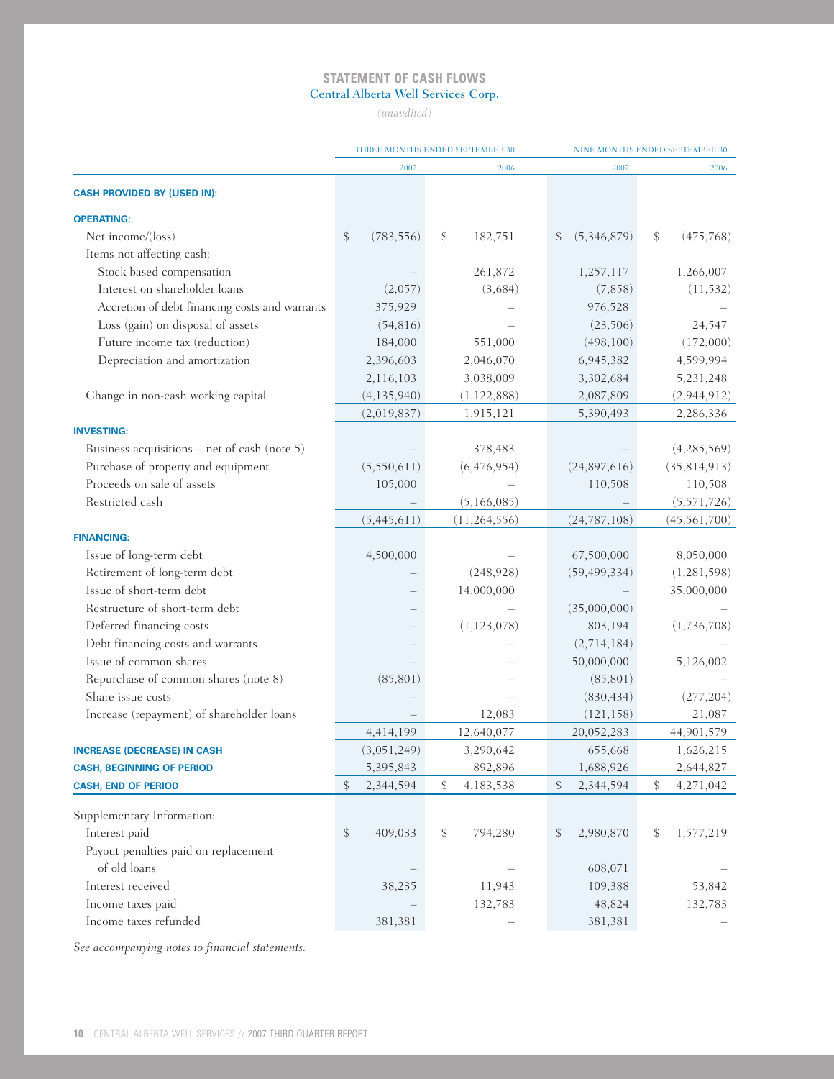# **STATEMENT OF CASH FLOWS** Central Alberta Well Services Corp.

*(unaudited)*

|                                                |                  | THREE MONTHS ENDED SEPTEMBER 30 | NINE MONTHS ENDED SEPTEMBER 30 |                  |  |  |
|------------------------------------------------|------------------|---------------------------------|--------------------------------|------------------|--|--|
|                                                | 2007             | 2006                            | 2007                           | 2006             |  |  |
| <b>CASH PROVIDED BY (USED IN):</b>             |                  |                                 |                                |                  |  |  |
| <b>OPERATING:</b>                              |                  |                                 |                                |                  |  |  |
| Net income/(loss)                              | \$<br>(783, 556) | \$<br>182,751                   | \$<br>(5,346,879)              | \$<br>(475, 768) |  |  |
| Items not affecting cash:                      |                  |                                 |                                |                  |  |  |
| Stock based compensation                       |                  | 261,872                         | 1,257,117                      | 1,266,007        |  |  |
| Interest on shareholder loans                  | (2,057)          | (3,684)                         | (7,858)                        | (11, 532)        |  |  |
| Accretion of debt financing costs and warrants | 375,929          |                                 | 976,528                        |                  |  |  |
| Loss (gain) on disposal of assets              | (54, 816)        |                                 | (23, 506)                      | 24,547           |  |  |
| Future income tax (reduction)                  | 184,000          | 551,000                         | (498, 100)                     | (172,000)        |  |  |
| Depreciation and amortization                  | 2,396,603        | 2,046,070                       | 6,945,382                      | 4,599,994        |  |  |
|                                                | 2,116,103        | 3,038,009                       | 3,302,684                      | 5,231,248        |  |  |
| Change in non-cash working capital             | (4, 135, 940)    | (1, 122, 888)                   | 2,087,809                      | (2,944,912)      |  |  |
|                                                | (2,019,837)      | 1,915,121                       | 5,390,493                      | 2,286,336        |  |  |
| <b>INVESTING:</b>                              |                  |                                 |                                |                  |  |  |
| Business acquisitions – net of cash (note 5)   |                  | 378,483                         |                                | (4, 285, 569)    |  |  |
| Purchase of property and equipment             | (5,550,611)      | (6,476,954)                     | (24,897,616)                   | (35, 814, 913)   |  |  |
| Proceeds on sale of assets                     | 105,000          |                                 | 110,508                        | 110,508          |  |  |
| Restricted cash                                |                  | (5,166,085)                     |                                | (5,571,726)      |  |  |
|                                                | (5,445,611)      | (11, 264, 556)                  | (24, 787, 108)                 | (45, 561, 700)   |  |  |
| <b>FINANCING:</b>                              |                  |                                 |                                |                  |  |  |
| Issue of long-term debt                        | 4,500,000        |                                 | 67,500,000                     | 8,050,000        |  |  |
| Retirement of long-term debt                   |                  | (248, 928)                      | (59, 499, 334)                 | (1,281,598)      |  |  |
| Issue of short-term debt                       |                  | 14,000,000                      |                                | 35,000,000       |  |  |
| Restructure of short-term debt                 |                  |                                 | (35,000,000)                   |                  |  |  |
| Deferred financing costs                       |                  | (1, 123, 078)                   | 803,194                        | (1,736,708)      |  |  |
| Debt financing costs and warrants              |                  |                                 | (2,714,184)                    |                  |  |  |
| Issue of common shares                         |                  |                                 | 50,000,000                     | 5,126,002        |  |  |
| Repurchase of common shares (note 8)           | (85, 801)        |                                 | (85, 801)                      |                  |  |  |
| Share issue costs                              |                  |                                 | (830, 434)                     | (277, 204)       |  |  |
| Increase (repayment) of shareholder loans      |                  | 12,083                          | (121, 158)                     | 21,087           |  |  |
|                                                | 4,414,199        | 12,640,077                      | 20,052,283                     | 44,901,579       |  |  |
| <b>INCREASE (DECREASE) IN CASH</b>             | (3,051,249)      | 3,290,642                       | 655,668                        | 1,626,215        |  |  |
| <b>CASH, BEGINNING OF PERIOD</b>               | 5,395,843        | 892,896                         | 1,688,926                      | 2,644,827        |  |  |
| <b>CASH, END OF PERIOD</b>                     | \$<br>2,344,594  | \$<br>4,183,538                 | \$<br>2,344,594                | 4,271,042<br>\$  |  |  |
| Supplementary Information:                     |                  |                                 |                                |                  |  |  |
| Interest paid                                  | \$<br>409,033    | \$<br>794,280                   | \$<br>2,980,870                | 1,577,219<br>\$  |  |  |
| Payout penalties paid on replacement           |                  |                                 |                                |                  |  |  |
| of old loans                                   |                  |                                 | 608,071                        |                  |  |  |
| Interest received                              | 38,235           | 11,943                          | 109,388                        | 53,842           |  |  |
| Income taxes paid                              |                  | 132,783                         | 48,824                         | 132,783          |  |  |
| Income taxes refunded                          | 381,381          |                                 | 381,381                        |                  |  |  |

*See accompanying notes to financial statements.*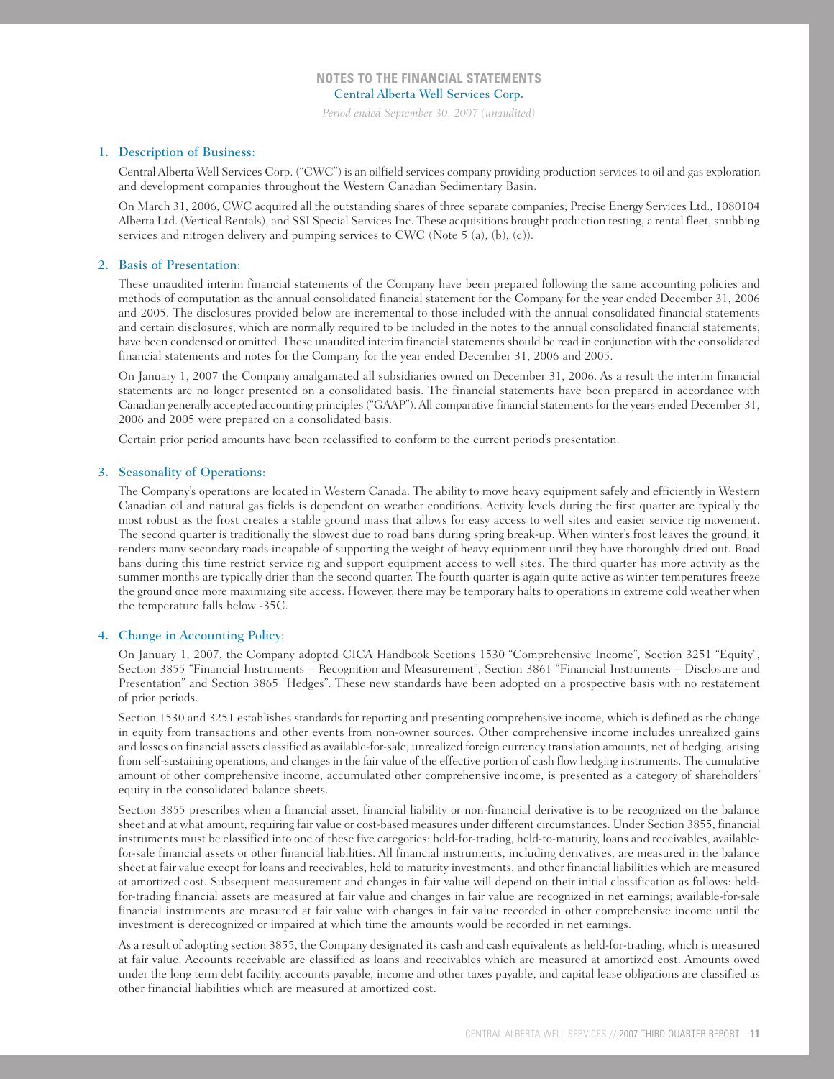*Period ended September 30, 2007 (unaudited)*

### 1. Description of Business:

Central Alberta Well Services Corp. ("CWC") is an oilfield services company providing production services to oil and gas exploration and development companies throughout the Western Canadian Sedimentary Basin.

On March 31, 2006, CWC acquired all the outstanding shares of three separate companies; Precise Energy Services Ltd., 1080104 Alberta Ltd. (Vertical Rentals), and SSI Special Services Inc. These acquisitions brought production testing, a rental fleet, snubbing services and nitrogen delivery and pumping services to CWC (Note 5 (a), (b), (c)).

#### 2. Basis of Presentation:

These unaudited interim financial statements of the Company have been prepared following the same accounting policies and methods of computation as the annual consolidated financial statement for the Company for the year ended December 31, 2006 and 2005. The disclosures provided below are incremental to those included with the annual consolidated financial statements and certain disclosures, which are normally required to be included in the notes to the annual consolidated financial statements, have been condensed or omitted. These unaudited interim financial statements should be read in conjunction with the consolidated financial statements and notes for the Company for the year ended December 31, 2006 and 2005.

On January 1, 2007 the Company amalgamated all subsidiaries owned on December 31, 2006. As a result the interim financial statements are no longer presented on a consolidated basis. The financial statements have been prepared in accordance with Canadian generally accepted accounting principles ("GAAP"). All comparative financial statements for the years ended December 31, 2006 and 2005 were prepared on a consolidated basis.

Certain prior period amounts have been reclassified to conform to the current period's presentation.

## 3. Seasonality of Operations:

The Company's operations are located in Western Canada. The ability to move heavy equipment safely and efficiently in Western Canadian oil and natural gas fields is dependent on weather conditions. Activity levels during the first quarter are typically the most robust as the frost creates a stable ground mass that allows for easy access to well sites and easier service rig movement. The second quarter is traditionally the slowest due to road bans during spring break-up. When winter's frost leaves the ground, it renders many secondary roads incapable of supporting the weight of heavy equipment until they have thoroughly dried out. Road bans during this time restrict service rig and support equipment access to well sites. The third quarter has more activity as the summer months are typically drier than the second quarter. The fourth quarter is again quite active as winter temperatures freeze the ground once more maximizing site access. However, there may be temporary halts to operations in extreme cold weather when the temperature falls below -35C.

### 4. Change in Accounting Policy:

On January 1, 2007, the Company adopted CICA Handbook Sections 1530 "Comprehensive Income", Section 3251 "Equity", Section 3855 "Financial Instruments – Recognition and Measurement", Section 3861 "Financial Instruments – Disclosure and Presentation" and Section 3865 "Hedges". These new standards have been adopted on a prospective basis with no restatement of prior periods.

Section 1530 and 3251 establishes standards for reporting and presenting comprehensive income, which is defined as the change in equity from transactions and other events from non-owner sources. Other comprehensive income includes unrealized gains and losses on financial assets classified as available-for-sale, unrealized foreign currency translation amounts, net of hedging, arising from self-sustaining operations, and changes in the fair value of the effective portion of cash flow hedging instruments. The cumulative amount of other comprehensive income, accumulated other comprehensive income, is presented as a category of shareholders' equity in the consolidated balance sheets.

Section 3855 prescribes when a financial asset, financial liability or non-financial derivative is to be recognized on the balance sheet and at what amount, requiring fair value or cost-based measures under different circumstances. Under Section 3855, financial instruments must be classified into one of these five categories: held-for-trading, held-to-maturity, loans and receivables, availablefor-sale financial assets or other financial liabilities. All financial instruments, including derivatives, are measured in the balance sheet at fair value except for loans and receivables, held to maturity investments, and other financial liabilities which are measured at amortized cost. Subsequent measurement and changes in fair value will depend on their initial classification as follows: heldfor-trading financial assets are measured at fair value and changes in fair value are recognized in net earnings; available-for-sale financial instruments are measured at fair value with changes in fair value recorded in other comprehensive income until the investment is derecognized or impaired at which time the amounts would be recorded in net earnings.

As a result of adopting section 3855, the Company designated its cash and cash equivalents as held-for-trading, which is measured at fair value. Accounts receivable are classified as loans and receivables which are measured at amortized cost. Amounts owed under the long term debt facility, accounts payable, income and other taxes payable, and capital lease obligations are classified as other financial liabilities which are measured at amortized cost.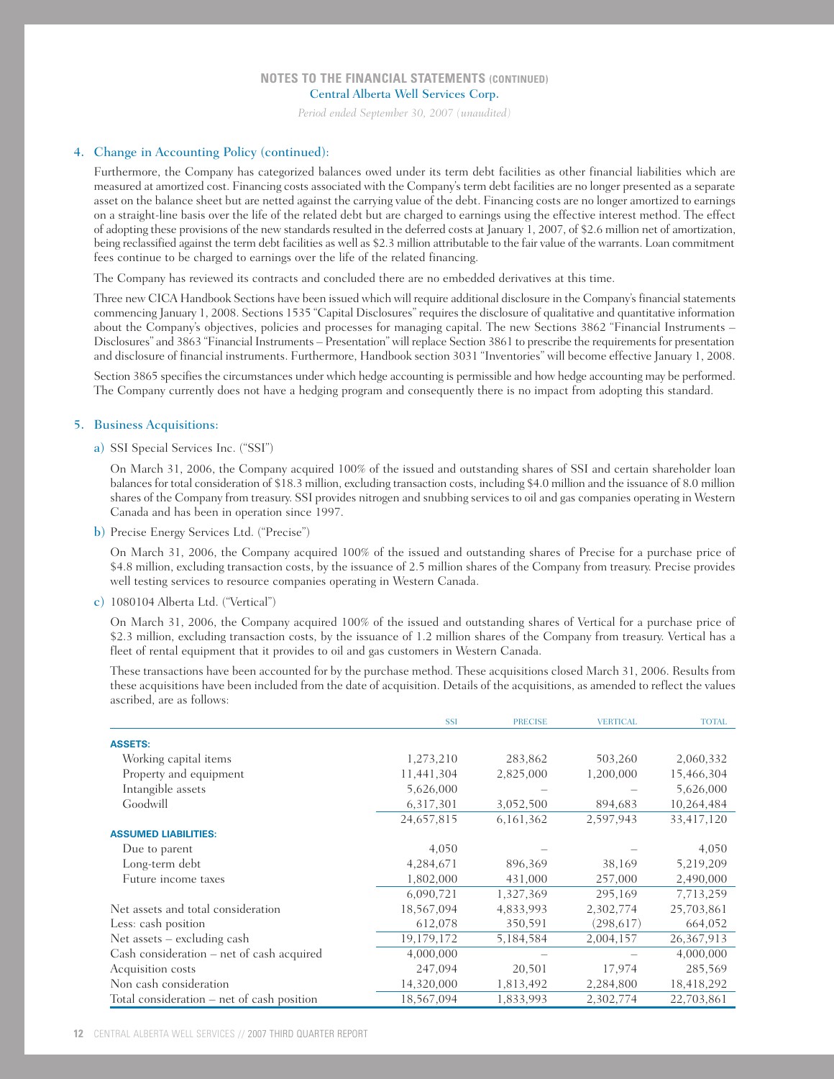*Period ended September 30, 2007 (unaudited)*

### 4. Change in Accounting Policy (continued):

Furthermore, the Company has categorized balances owed under its term debt facilities as other financial liabilities which are measured at amortized cost. Financing costs associated with the Company's term debt facilities are no longer presented as a separate asset on the balance sheet but are netted against the carrying value of the debt. Financing costs are no longer amortized to earnings on a straight-line basis over the life of the related debt but are charged to earnings using the effective interest method. The effect of adopting these provisions of the new standards resulted in the deferred costs at January 1, 2007, of \$2.6 million net of amortization, being reclassified against the term debt facilities as well as \$2.3 million attributable to the fair value of the warrants. Loan commitment fees continue to be charged to earnings over the life of the related financing.

The Company has reviewed its contracts and concluded there are no embedded derivatives at this time.

Three new CICA Handbook Sections have been issued which will require additional disclosure in the Company's financial statements commencing January 1, 2008. Sections 1535 "Capital Disclosures" requires the disclosure of qualitative and quantitative information about the Company's objectives, policies and processes for managing capital. The new Sections 3862 "Financial Instruments – Disclosures" and 3863 "Financial Instruments – Presentation" will replace Section 3861 to prescribe the requirements for presentation and disclosure of financial instruments. Furthermore, Handbook section 3031 "Inventories" will become effective January 1, 2008.

Section 3865 specifies the circumstances under which hedge accounting is permissible and how hedge accounting may be performed. The Company currently does not have a hedging program and consequently there is no impact from adopting this standard.

### 5. Business Acquisitions:

### a) SSI Special Services Inc. ("SSI")

On March 31, 2006, the Company acquired 100% of the issued and outstanding shares of SSI and certain shareholder loan balances for total consideration of \$18.3 million, excluding transaction costs, including \$4.0 million and the issuance of 8.0 million shares of the Company from treasury. SSI provides nitrogen and snubbing services to oil and gas companies operating in Western Canada and has been in operation since 1997.

b) Precise Energy Services Ltd. ("Precise")

On March 31, 2006, the Company acquired 100% of the issued and outstanding shares of Precise for a purchase price of \$4.8 million, excluding transaction costs, by the issuance of 2.5 million shares of the Company from treasury. Precise provides well testing services to resource companies operating in Western Canada.

#### c) 1080104 Alberta Ltd. ("Vertical")

On March 31, 2006, the Company acquired 100% of the issued and outstanding shares of Vertical for a purchase price of \$2.3 million, excluding transaction costs, by the issuance of 1.2 million shares of the Company from treasury. Vertical has a fleet of rental equipment that it provides to oil and gas customers in Western Canada.

These transactions have been accounted for by the purchase method. These acquisitions closed March 31, 2006. Results from these acquisitions have been included from the date of acquisition. Details of the acquisitions, as amended to reflect the values ascribed, are as follows:

|                                            | <b>SSI</b> | <b>PRECISE</b> | <b>VERTICAL</b> | <b>TOTAL</b> |
|--------------------------------------------|------------|----------------|-----------------|--------------|
| <b>ASSETS:</b>                             |            |                |                 |              |
| Working capital items                      | 1,273,210  | 283,862        | 503,260         | 2,060,332    |
| Property and equipment                     | 11,441,304 | 2,825,000      | 1,200,000       | 15,466,304   |
| Intangible assets                          | 5,626,000  |                |                 | 5,626,000    |
| Goodwill                                   | 6,317,301  | 3,052,500      | 894,683         | 10,264,484   |
|                                            | 24,657,815 | 6,161,362      | 2,597,943       | 33,417,120   |
| <b>ASSUMED LIABILITIES:</b>                |            |                |                 |              |
| Due to parent                              | 4,050      |                |                 | 4,050        |
| Long-term debt                             | 4,284,671  | 896,369        | 38,169          | 5,219,209    |
| Future income taxes                        | 1,802,000  | 431,000        | 257,000         | 2,490,000    |
|                                            | 6,090,721  | 1,327,369      | 295,169         | 7,713,259    |
| Net assets and total consideration         | 18,567,094 | 4,833,993      | 2,302,774       | 25,703,861   |
| Less: cash position                        | 612,078    | 350,591        | (298,617)       | 664,052      |
| Net assets $-$ excluding cash              | 19,179,172 | 5,184,584      | 2,004,157       | 26,367,913   |
| Cash consideration - net of cash acquired  | 4,000,000  |                |                 | 4,000,000    |
| Acquisition costs                          | 247,094    | 20,501         | 17,974          | 285,569      |
| Non cash consideration                     | 14,320,000 | 1,813,492      | 2,284,800       | 18,418,292   |
| Total consideration - net of cash position | 18,567,094 | 1,833,993      | 2,302,774       | 22,703,861   |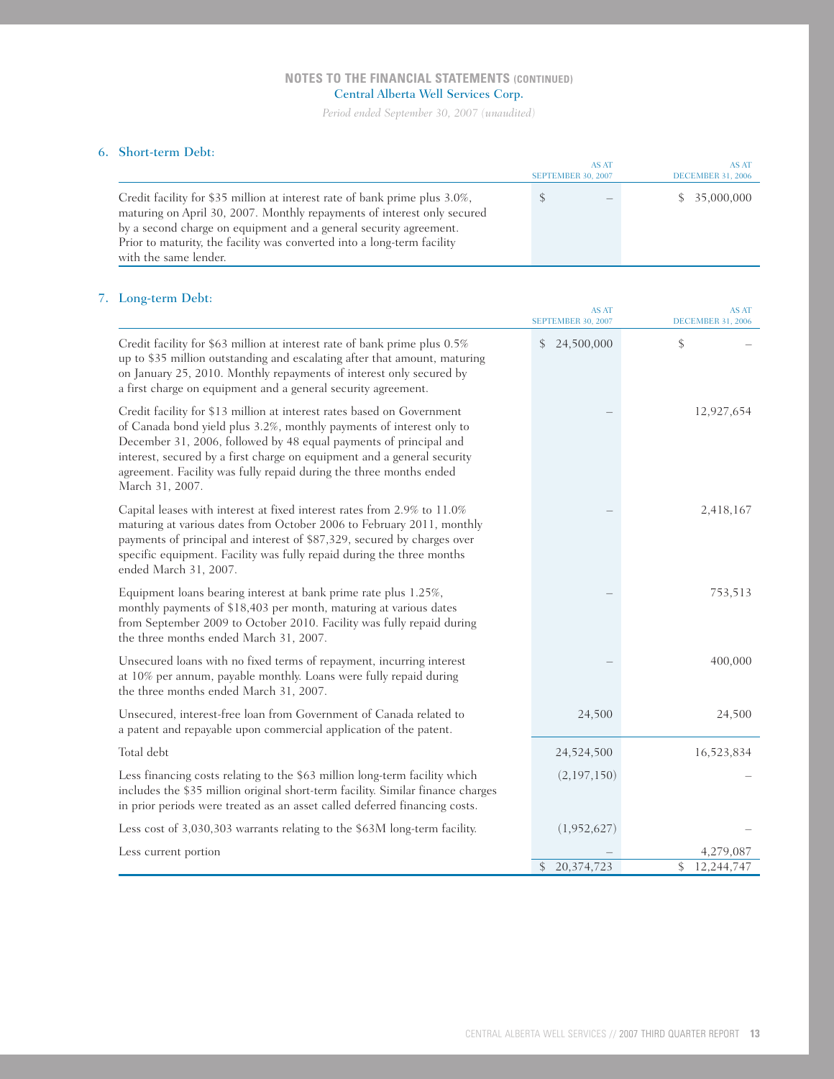*Period ended September 30, 2007 (unaudited)*

## 6. Short-term Debt:

|                                                                                                                                                                                                                                                                                                                                | AS AT<br>SEPTEMBER 30, 2007 | AS AT<br>DECEMBER 31, 2006 |
|--------------------------------------------------------------------------------------------------------------------------------------------------------------------------------------------------------------------------------------------------------------------------------------------------------------------------------|-----------------------------|----------------------------|
| Credit facility for \$35 million at interest rate of bank prime plus 3.0%,<br>maturing on April 30, 2007. Monthly repayments of interest only secured<br>by a second charge on equipment and a general security agreement.<br>Prior to maturity, the facility was converted into a long-term facility<br>with the same lender. | S                           | \$35,000,000               |

# 7. Long-term Debt:

| $\cdots$                                                                                                                                                                                                                                                                                                                                                                                | AS AT<br><b>SEPTEMBER 30, 2007</b> | <b>AS AT</b><br><b>DECEMBER 31, 2006</b> |
|-----------------------------------------------------------------------------------------------------------------------------------------------------------------------------------------------------------------------------------------------------------------------------------------------------------------------------------------------------------------------------------------|------------------------------------|------------------------------------------|
| Credit facility for \$63 million at interest rate of bank prime plus 0.5%<br>up to \$35 million outstanding and escalating after that amount, maturing<br>on January 25, 2010. Monthly repayments of interest only secured by<br>a first charge on equipment and a general security agreement.                                                                                          | 24,500,000<br>\$                   | \$                                       |
| Credit facility for \$13 million at interest rates based on Government<br>of Canada bond yield plus 3.2%, monthly payments of interest only to<br>December 31, 2006, followed by 48 equal payments of principal and<br>interest, secured by a first charge on equipment and a general security<br>agreement. Facility was fully repaid during the three months ended<br>March 31, 2007. |                                    | 12,927,654                               |
| Capital leases with interest at fixed interest rates from 2.9% to 11.0%<br>maturing at various dates from October 2006 to February 2011, monthly<br>payments of principal and interest of \$87,329, secured by charges over<br>specific equipment. Facility was fully repaid during the three months<br>ended March 31, 2007.                                                           |                                    | 2,418,167                                |
| Equipment loans bearing interest at bank prime rate plus 1.25%,<br>monthly payments of \$18,403 per month, maturing at various dates<br>from September 2009 to October 2010. Facility was fully repaid during<br>the three months ended March 31, 2007.                                                                                                                                 |                                    | 753,513                                  |
| Unsecured loans with no fixed terms of repayment, incurring interest<br>at 10% per annum, payable monthly. Loans were fully repaid during<br>the three months ended March 31, 2007.                                                                                                                                                                                                     |                                    | 400,000                                  |
| Unsecured, interest-free loan from Government of Canada related to<br>a patent and repayable upon commercial application of the patent.                                                                                                                                                                                                                                                 | 24,500                             | 24,500                                   |
| Total debt                                                                                                                                                                                                                                                                                                                                                                              | 24,524,500                         | 16,523,834                               |
| Less financing costs relating to the \$63 million long-term facility which<br>includes the \$35 million original short-term facility. Similar finance charges<br>in prior periods were treated as an asset called deferred financing costs.                                                                                                                                             | (2,197,150)                        |                                          |
| Less cost of 3,030,303 warrants relating to the \$63M long-term facility.                                                                                                                                                                                                                                                                                                               | (1,952,627)                        |                                          |
| Less current portion                                                                                                                                                                                                                                                                                                                                                                    |                                    | 4,279,087                                |
|                                                                                                                                                                                                                                                                                                                                                                                         | 20,374,723<br>\$                   | \$<br>12,244,747                         |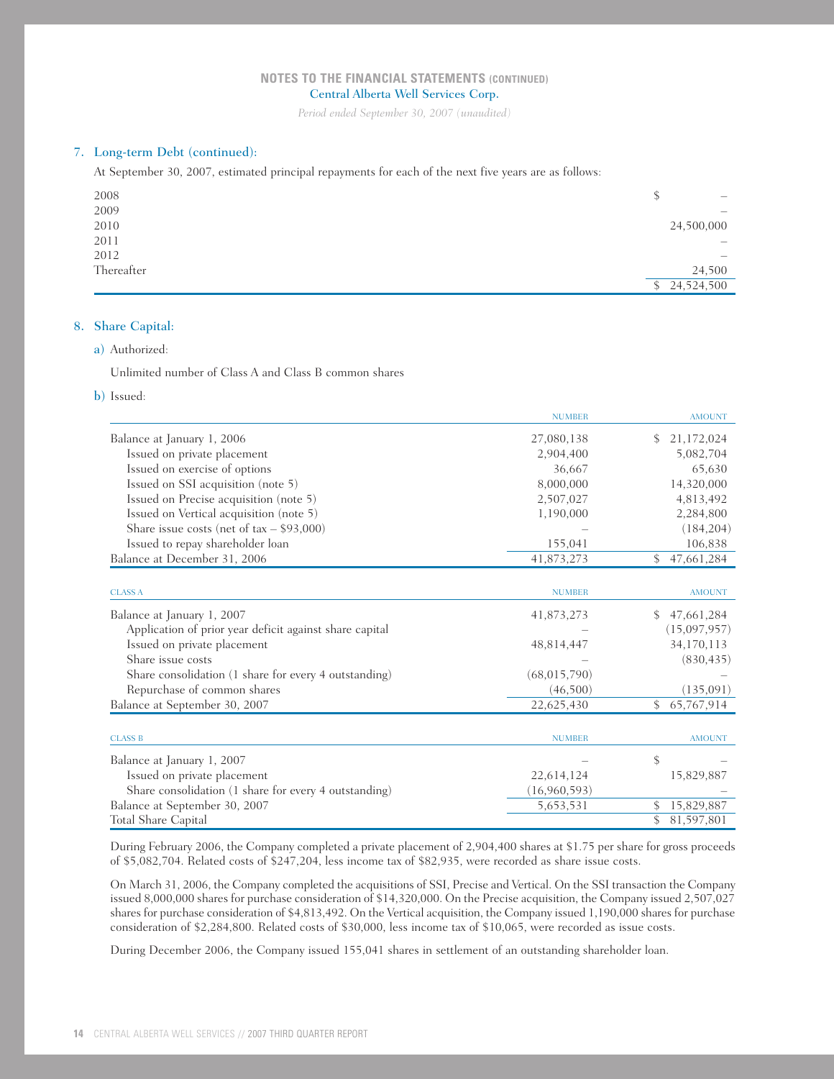*Period ended September 30, 2007 (unaudited)*

## 7. Long-term Debt (continued):

At September 30, 2007, estimated principal repayments for each of the next five years are as follows:

| 2008       | S<br>$\hspace{1.0cm} \rule{1.5cm}{0.15cm} \hspace{1.0cm} \rule{1.5cm}{0.15cm}$ |
|------------|--------------------------------------------------------------------------------|
| 2009       | $-$                                                                            |
| 2010       | 24,500,000                                                                     |
| 2011       |                                                                                |
| 2012       | $\hspace{1.0cm} \rule{1.5cm}{0.15cm}$                                          |
| Thereafter | 24,500                                                                         |
|            | \$24,524,500                                                                   |

## 8. Share Capital:

## a) Authorized:

Unlimited number of Class A and Class B common shares

b) Issued:

|                                                         | <b>NUMBER</b>  | <b>AMOUNT</b>    |
|---------------------------------------------------------|----------------|------------------|
| Balance at January 1, 2006                              | 27,080,138     | 21,172,024<br>\$ |
| Issued on private placement                             | 2,904,400      | 5,082,704        |
| Issued on exercise of options                           | 36,667         | 65,630           |
| Issued on SSI acquisition (note 5)                      | 8,000,000      | 14,320,000       |
| Issued on Precise acquisition (note 5)                  | 2,507,027      | 4,813,492        |
| Issued on Vertical acquisition (note 5)                 | 1,190,000      | 2,284,800        |
| Share issue costs (net of $tax - $93,000$ )             |                | (184, 204)       |
| Issued to repay shareholder loan                        | 155,041        | 106,838          |
| Balance at December 31, 2006                            | 41,873,273     | 47,661,284<br>\$ |
|                                                         |                |                  |
| <b>CLASS A</b>                                          | <b>NUMBER</b>  | <b>AMOUNT</b>    |
| Balance at January 1, 2007                              | 41,873,273     | 47,661,284<br>\$ |
| Application of prior year deficit against share capital |                | (15,097,957)     |
| Issued on private placement                             | 48,814,447     | 34,170,113       |
| Share issue costs                                       |                | (830, 435)       |
| Share consolidation (1 share for every 4 outstanding)   | (68, 015, 790) |                  |
| Repurchase of common shares                             | (46, 500)      | (135,091)        |
| Balance at September 30, 2007                           | 22,625,430     | \$<br>65,767,914 |
|                                                         |                |                  |
| <b>CLASS B</b>                                          | <b>NUMBER</b>  | <b>AMOUNT</b>    |
| Balance at January 1, 2007                              |                | \$               |
| Issued on private placement                             | 22,614,124     | 15,829,887       |
| Share consolidation (1 share for every 4 outstanding)   | (16,960,593)   |                  |
| Balance at September 30, 2007                           | 5,653,531      | 15,829,887<br>\$ |
| <b>Total Share Capital</b>                              |                | 81,597,801<br>\$ |

During February 2006, the Company completed a private placement of 2,904,400 shares at \$1.75 per share for gross proceeds of \$5,082,704. Related costs of \$247,204, less income tax of \$82,935, were recorded as share issue costs.

On March 31, 2006, the Company completed the acquisitions of SSI, Precise and Vertical. On the SSI transaction the Company issued 8,000,000 shares for purchase consideration of \$14,320,000. On the Precise acquisition, the Company issued 2,507,027 shares for purchase consideration of \$4,813,492. On the Vertical acquisition, the Company issued 1,190,000 shares for purchase consideration of \$2,284,800. Related costs of \$30,000, less income tax of \$10,065, were recorded as issue costs.

During December 2006, the Company issued 155,041 shares in settlement of an outstanding shareholder loan.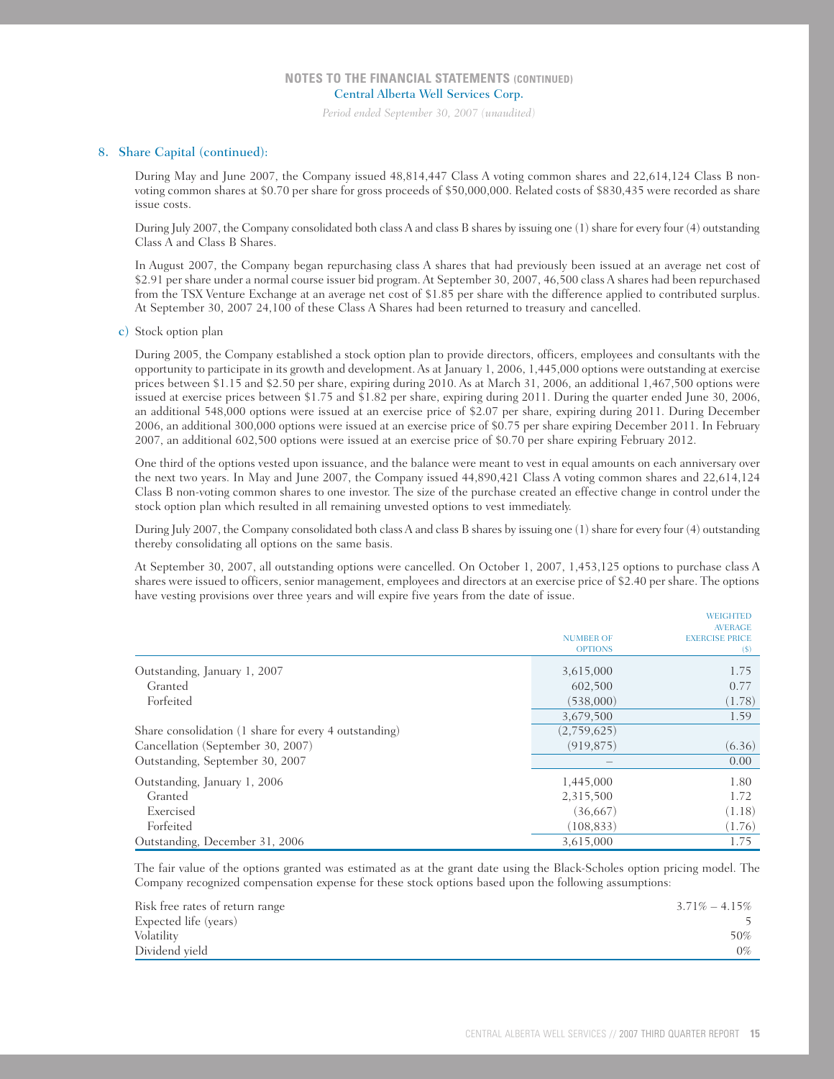*Period ended September 30, 2007 (unaudited)*

#### 8. Share Capital (continued):

During May and June 2007, the Company issued 48,814,447 Class A voting common shares and 22,614,124 Class B nonvoting common shares at \$0.70 per share for gross proceeds of \$50,000,000. Related costs of \$830,435 were recorded as share issue costs.

During July 2007, the Company consolidated both class A and class B shares by issuing one (1) share for every four (4) outstanding Class A and Class B Shares.

In August 2007, the Company began repurchasing class A shares that had previously been issued at an average net cost of \$2.91 per share under a normal course issuer bid program. At September 30, 2007, 46,500 class A shares had been repurchased from the TSX Venture Exchange at an average net cost of \$1.85 per share with the difference applied to contributed surplus. At September 30, 2007 24,100 of these Class A Shares had been returned to treasury and cancelled.

c) Stock option plan

During 2005, the Company established a stock option plan to provide directors, officers, employees and consultants with the opportunity to participate in its growth and development. As at January 1, 2006, 1,445,000 options were outstanding at exercise prices between \$1.15 and \$2.50 per share, expiring during 2010. As at March 31, 2006, an additional 1,467,500 options were issued at exercise prices between \$1.75 and \$1.82 per share, expiring during 2011. During the quarter ended June 30, 2006, an additional 548,000 options were issued at an exercise price of \$2.07 per share, expiring during 2011. During December 2006, an additional 300,000 options were issued at an exercise price of \$0.75 per share expiring December 2011. In February 2007, an additional 602,500 options were issued at an exercise price of \$0.70 per share expiring February 2012.

One third of the options vested upon issuance, and the balance were meant to vest in equal amounts on each anniversary over the next two years. In May and June 2007, the Company issued 44,890,421 Class A voting common shares and 22,614,124 Class B non-voting common shares to one investor. The size of the purchase created an effective change in control under the stock option plan which resulted in all remaining unvested options to vest immediately.

During July 2007, the Company consolidated both class A and class B shares by issuing one (1) share for every four (4) outstanding thereby consolidating all options on the same basis.

At September 30, 2007, all outstanding options were cancelled. On October 1, 2007, 1,453,125 options to purchase class A shares were issued to officers, senior management, employees and directors at an exercise price of \$2.40 per share. The options have vesting provisions over three years and will expire five years from the date of issue.

|                                                       | <b>NUMBER OF</b><br><b>OPTIONS</b> | <b>WEIGHTED</b><br><b>AVERAGE</b><br><b>EXERCISE PRICE</b><br>$(\$)$ |
|-------------------------------------------------------|------------------------------------|----------------------------------------------------------------------|
| Outstanding, January 1, 2007                          | 3,615,000                          | 1.75                                                                 |
| Granted                                               | 602,500                            | 0.77                                                                 |
| Forfeited                                             | (538,000)                          | (1.78)                                                               |
|                                                       | 3,679,500                          | 1.59                                                                 |
| Share consolidation (1 share for every 4 outstanding) | (2,759,625)                        |                                                                      |
| Cancellation (September 30, 2007)                     | (919, 875)                         | (6.36)                                                               |
| Outstanding, September 30, 2007                       |                                    | 0.00                                                                 |
| Outstanding, January 1, 2006                          | 1,445,000                          | 1.80                                                                 |
| Granted                                               | 2,315,500                          | 1.72                                                                 |
| Exercised                                             | (36,667)                           | (1.18)                                                               |
| Forfeited                                             | (108, 833)                         | (1.76)                                                               |
| Outstanding, December 31, 2006                        | 3,615,000                          | 1.75                                                                 |

The fair value of the options granted was estimated as at the grant date using the Black-Scholes option pricing model. The Company recognized compensation expense for these stock options based upon the following assumptions:

| Risk free rates of return range | $3.71\% - 4.15\%$ |
|---------------------------------|-------------------|
| Expected life (years)           |                   |
| Volatility                      | 50%               |
| Dividend vield                  | 0%                |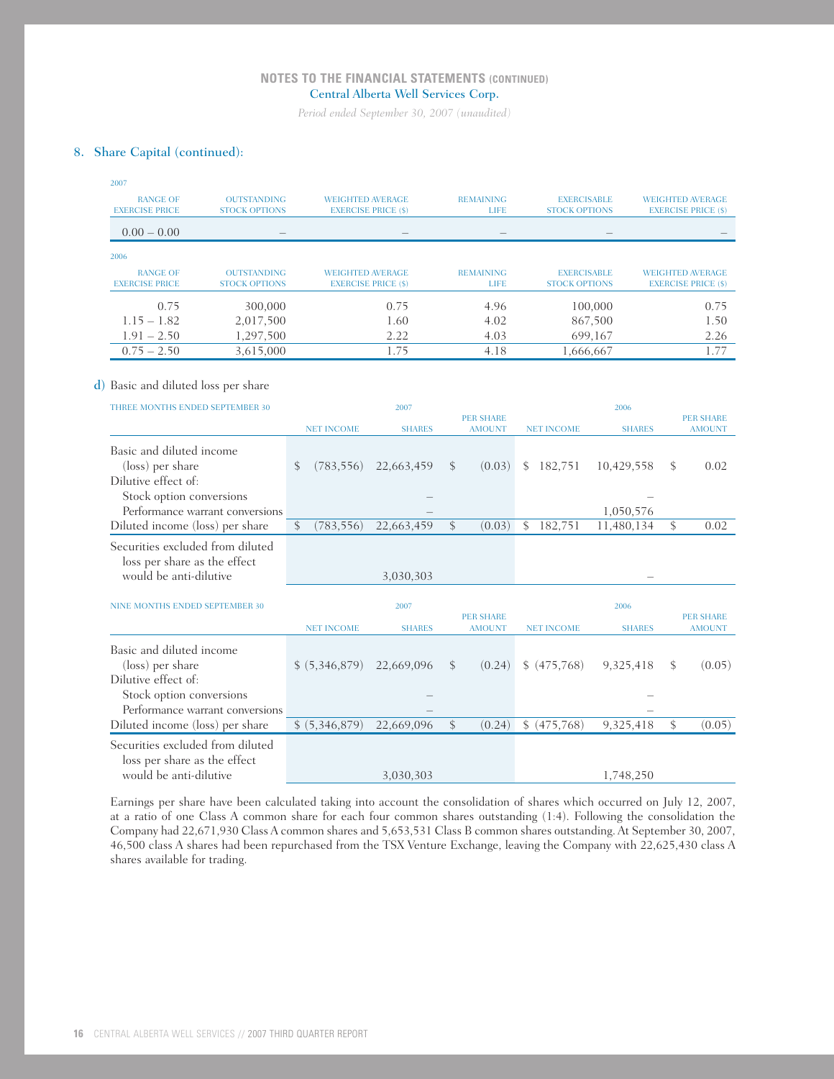*Period ended September 30, 2007 (unaudited)*

# 8. Share Capital (continued):

| 2007                                     |                                            |                             |                            |               |                                 |                                            |               |                                                       |
|------------------------------------------|--------------------------------------------|-----------------------------|----------------------------|---------------|---------------------------------|--------------------------------------------|---------------|-------------------------------------------------------|
| <b>RANGE OF</b><br><b>EXERCISE PRICE</b> | <b>OUTSTANDING</b>                         | <b>WEIGHTED AVERAGE</b>     |                            |               | <b>REMAINING</b><br><b>LIFE</b> | <b>EXERCISABLE</b><br><b>STOCK OPTIONS</b> |               | <b>WEIGHTED AVERAGE</b>                               |
| $0.00 - 0.00$                            | <b>STOCK OPTIONS</b>                       |                             | <b>EXERCISE PRICE (\$)</b> |               |                                 |                                            |               | <b>EXERCISE PRICE (\$)</b>                            |
| 2006                                     |                                            |                             |                            |               |                                 |                                            |               |                                                       |
|                                          |                                            |                             |                            |               |                                 |                                            |               |                                                       |
| <b>RANGE OF</b><br><b>EXERCISE PRICE</b> | <b>OUTSTANDING</b><br><b>STOCK OPTIONS</b> | <b>WEIGHTED AVERAGE</b>     | <b>EXERCISE PRICE (\$)</b> |               | <b>REMAINING</b><br><b>LIFE</b> | <b>EXERCISABLE</b><br><b>STOCK OPTIONS</b> |               | <b>WEIGHTED AVERAGE</b><br><b>EXERCISE PRICE (\$)</b> |
| 0.75                                     | 300,000                                    |                             | 0.75                       |               | 4.96                            |                                            | 100,000       | 0.75                                                  |
| $1.15 - 1.82$                            | 2,017,500                                  |                             | 1.60                       |               | 4.02                            |                                            | 867,500       | 1.50                                                  |
| $1.91 - 2.50$                            | 1,297,500                                  |                             | 2.22                       |               | 4.03                            |                                            | 699,167       | 2.26                                                  |
| $0.75 - 2.50$                            | 3,615,000                                  |                             | 1.75                       |               | 4.18                            | 1,666,667                                  |               | 1.77                                                  |
|                                          |                                            |                             |                            |               |                                 |                                            |               |                                                       |
| d) Basic and diluted loss per share      |                                            |                             |                            |               |                                 |                                            |               |                                                       |
| THREE MONTHS ENDED SEPTEMBER 30          |                                            |                             | 2007                       |               |                                 |                                            | 2006          |                                                       |
|                                          |                                            |                             |                            |               | <b>PER SHARE</b>                |                                            |               | <b>PER SHARE</b>                                      |
|                                          |                                            | <b>NET INCOME</b>           | <b>SHARES</b>              |               | <b>AMOUNT</b>                   | <b>NET INCOME</b>                          | <b>SHARES</b> | <b>AMOUNT</b>                                         |
| Basic and diluted income                 |                                            |                             |                            |               |                                 |                                            |               |                                                       |
| (loss) per share                         |                                            | S<br>(783, 556)             | 22,663,459                 | $\mathcal{S}$ | (0.03)                          | 182,751<br>\$                              | 10,429,558    | \$<br>0.02                                            |
| Dilutive effect of:                      |                                            |                             |                            |               |                                 |                                            |               |                                                       |
| Stock option conversions                 |                                            |                             |                            |               |                                 |                                            |               |                                                       |
|                                          | Performance warrant conversions            |                             |                            |               |                                 |                                            | 1,050,576     |                                                       |
| Diluted income (loss) per share          |                                            | $\mathcal{S}$<br>(783, 556) | 22,663,459                 | \$            | (0.03)                          | \$<br>182,751                              | 11,480,134    | \$<br>0.02                                            |
|                                          | Securities excluded from diluted           |                             |                            |               |                                 |                                            |               |                                                       |
| loss per share as the effect             |                                            |                             |                            |               |                                 |                                            |               |                                                       |
| would be anti-dilutive                   |                                            |                             | 3,030,303                  |               |                                 |                                            |               |                                                       |
|                                          |                                            |                             |                            |               |                                 |                                            |               |                                                       |
| NINE MONTHS ENDED SEPTEMBER 30           |                                            |                             | 2007                       |               | <b>PER SHARE</b>                |                                            | 2006          | <b>PER SHARE</b>                                      |
|                                          |                                            | <b>NET INCOME</b>           | <b>SHARES</b>              |               | <b>AMOUNT</b>                   | <b>NET INCOME</b>                          | <b>SHARES</b> | <b>AMOUNT</b>                                         |
| Basic and diluted income                 |                                            |                             |                            |               |                                 |                                            |               |                                                       |
| (loss) per share                         |                                            | \$ (5,346,879)              | 22,669,096                 | \$            | (0.24)                          | \$ (475,768)                               | 9,325,418     | \$<br>(0.05)                                          |
| Dilutive effect of:                      |                                            |                             |                            |               |                                 |                                            |               |                                                       |
| Stock option conversions                 |                                            |                             |                            |               |                                 |                                            |               |                                                       |
|                                          | Performance warrant conversions            |                             |                            |               |                                 |                                            |               |                                                       |
| Diluted income (loss) per share          |                                            | \$ (5,346,879)              | 22,669,096                 | \$            | (0.24)                          | \$ (475,768)                               | 9,325,418     | \$<br>(0.05)                                          |
|                                          | Securities excluded from diluted           |                             |                            |               |                                 |                                            |               |                                                       |
| loss per share as the effect             |                                            |                             |                            |               |                                 |                                            |               |                                                       |
| would be anti-dilutive                   |                                            |                             | 3,030,303                  |               |                                 |                                            | 1,748,250     |                                                       |

Earnings per share have been calculated taking into account the consolidation of shares which occurred on July 12, 2007, at a ratio of one Class A common share for each four common shares outstanding (1:4). Following the consolidation the Company had 22,671,930 Class A common shares and 5,653,531 Class B common shares outstanding. At September 30, 2007, 46,500 class A shares had been repurchased from the TSX Venture Exchange, leaving the Company with 22,625,430 class A shares available for trading.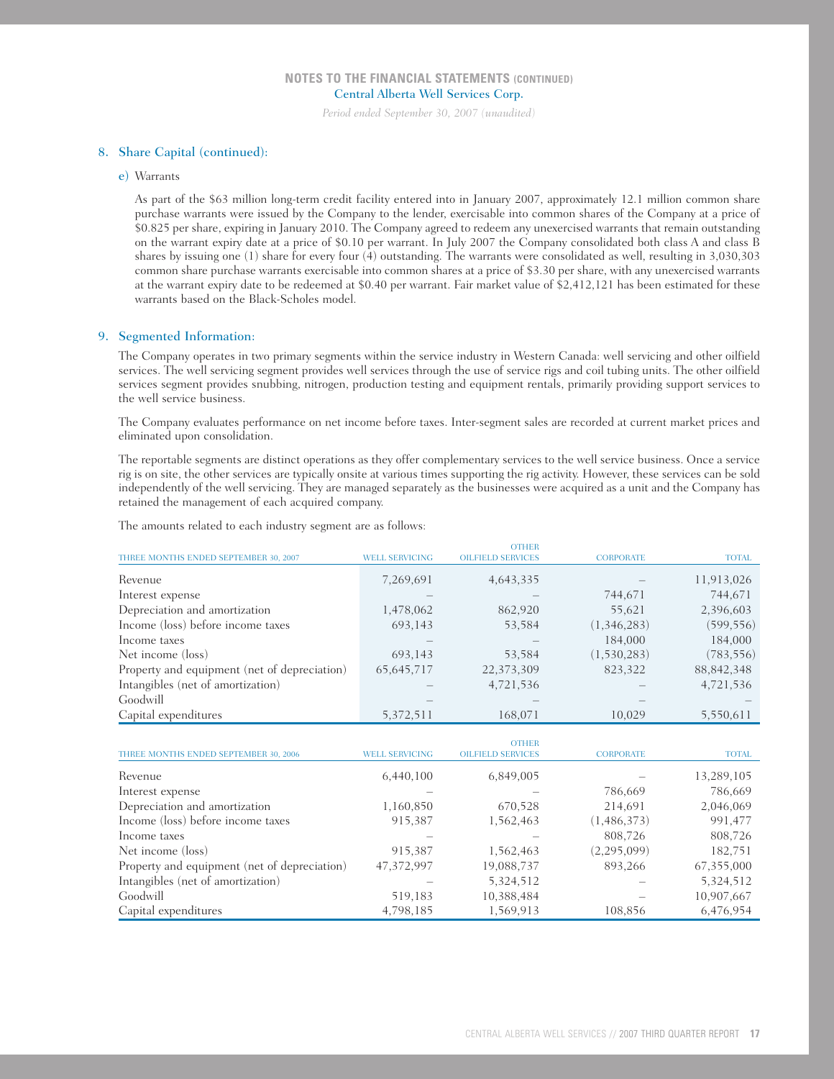*Period ended September 30, 2007 (unaudited)*

#### 8. Share Capital (continued):

#### e) Warrants

As part of the \$63 million long-term credit facility entered into in January 2007, approximately 12.1 million common share purchase warrants were issued by the Company to the lender, exercisable into common shares of the Company at a price of \$0.825 per share, expiring in January 2010. The Company agreed to redeem any unexercised warrants that remain outstanding on the warrant expiry date at a price of \$0.10 per warrant. In July 2007 the Company consolidated both class A and class B shares by issuing one (1) share for every four (4) outstanding. The warrants were consolidated as well, resulting in 3,030,303 common share purchase warrants exercisable into common shares at a price of \$3.30 per share, with any unexercised warrants at the warrant expiry date to be redeemed at \$0.40 per warrant. Fair market value of \$2,412,121 has been estimated for these warrants based on the Black-Scholes model.

#### 9. Segmented Information:

The Company operates in two primary segments within the service industry in Western Canada: well servicing and other oilfield services. The well servicing segment provides well services through the use of service rigs and coil tubing units. The other oilfield services segment provides snubbing, nitrogen, production testing and equipment rentals, primarily providing support services to the well service business.

The Company evaluates performance on net income before taxes. Inter-segment sales are recorded at current market prices and eliminated upon consolidation.

The reportable segments are distinct operations as they offer complementary services to the well service business. Once a service rig is on site, the other services are typically onsite at various times supporting the rig activity. However, these services can be sold independently of the well servicing. They are managed separately as the businesses were acquired as a unit and the Company has retained the management of each acquired company.

The amounts related to each industry segment are as follows:

|                                              |                       | <b>OTHER</b>             |                  |              |
|----------------------------------------------|-----------------------|--------------------------|------------------|--------------|
| THREE MONTHS ENDED SEPTEMBER 30, 2007        | <b>WELL SERVICING</b> | <b>OILFIELD SERVICES</b> | <b>CORPORATE</b> | <b>TOTAL</b> |
| Revenue                                      | 7,269,691             | 4,643,335                |                  | 11,913,026   |
| Interest expense                             |                       |                          | 744,671          | 744,671      |
| Depreciation and amortization                | 1,478,062             | 862,920                  | 55,621           | 2,396,603    |
| Income (loss) before income taxes            | 693,143               | 53,584                   | (1,346,283)      | (599, 556)   |
| Income taxes                                 |                       |                          | 184,000          | 184,000      |
| Net income (loss)                            | 693,143               | 53,584                   | (1,530,283)      | (783, 556)   |
| Property and equipment (net of depreciation) | 65,645,717            | 22,373,309               | 823,322          | 88, 842, 348 |
| Intangibles (net of amortization)            |                       | 4,721,536                |                  | 4,721,536    |
| Goodwill                                     |                       |                          |                  |              |
| Capital expenditures                         | 5,372,511             | 168,071                  | 10,029           | 5,550,611    |

|                                              |                       | <b>OTHER</b>             |                  |              |
|----------------------------------------------|-----------------------|--------------------------|------------------|--------------|
| THREE MONTHS ENDED SEPTEMBER 30, 2006        | <b>WELL SERVICING</b> | <b>OILFIELD SERVICES</b> | <b>CORPORATE</b> | <b>TOTAL</b> |
| Revenue                                      | 6,440,100             | 6,849,005                |                  | 13,289,105   |
| Interest expense                             |                       |                          | 786,669          | 786,669      |
| Depreciation and amortization                | 1,160,850             | 670,528                  | 214,691          | 2,046,069    |
| Income (loss) before income taxes            | 915,387               | 1,562,463                | (1,486,373)      | 991,477      |
| Income taxes                                 |                       |                          | 808,726          | 808,726      |
| Net income (loss)                            | 915,387               | 1,562,463                | (2, 295, 099)    | 182,751      |
| Property and equipment (net of depreciation) | 47,372,997            | 19,088,737               | 893,266          | 67,355,000   |
| Intangibles (net of amortization)            |                       | 5,324,512                |                  | 5,324,512    |
| Goodwill                                     | 519,183               | 10,388,484               |                  | 10,907,667   |
| Capital expenditures                         | 4,798,185             | 1,569,913                | 108,856          | 6,476,954    |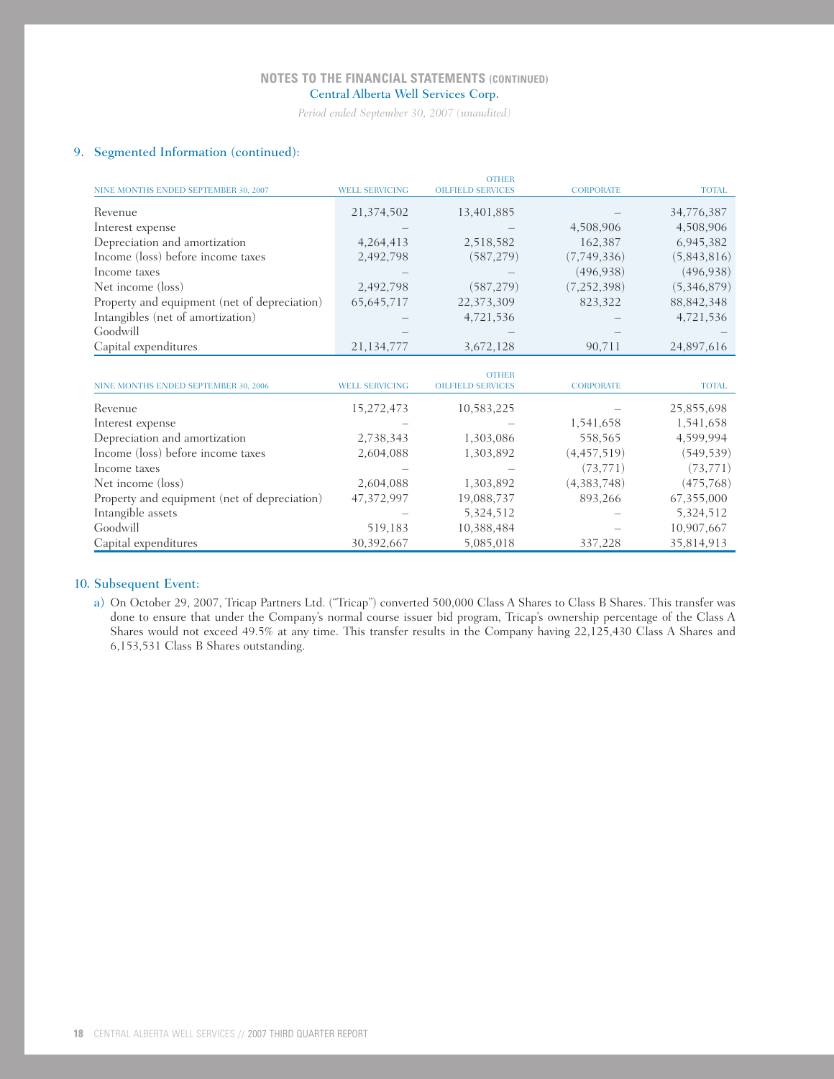*Period ended September 30, 2007 (unaudited)*

## 9. Segmented Information (continued):

|                                              |                       | <b>OTHER</b>             |                  |              |
|----------------------------------------------|-----------------------|--------------------------|------------------|--------------|
| NINE MONTHS ENDED SEPTEMBER 30, 2007         | <b>WELL SERVICING</b> | <b>OILFIELD SERVICES</b> | <b>CORPORATE</b> | <b>TOTAL</b> |
| Revenue                                      | 21,374,502            | 13,401,885               |                  | 34,776,387   |
| Interest expense                             |                       |                          | 4,508,906        | 4,508,906    |
| Depreciation and amortization                | 4,264,413             | 2,518,582                | 162,387          | 6,945,382    |
| Income (loss) before income taxes            | 2,492,798             | (587, 279)               | (7,749,336)      | (5,843,816)  |
| Income taxes                                 |                       |                          | (496, 938)       | (496, 938)   |
| Net income (loss)                            | 2,492,798             | (587, 279)               | (7, 252, 398)    | (5,346,879)  |
| Property and equipment (net of depreciation) | 65, 645, 717          | 22,373,309               | 823,322          | 88, 842, 348 |
| Intangibles (net of amortization)            |                       | 4,721,536                |                  | 4,721,536    |
| Goodwill                                     |                       |                          |                  |              |
| Capital expenditures                         | 21,134,777            | 3,672,128                | 90,711           | 24,897,616   |
|                                              |                       |                          |                  |              |
|                                              |                       | <b>OTHER</b>             |                  |              |
| NINE MONTHS ENDED SEPTEMBER 30, 2006         | <b>WELL SERVICING</b> | <b>OILFIELD SERVICES</b> | <b>CORPORATE</b> | <b>TOTAL</b> |
| Revenue                                      | 15,272,473            | 10,583,225               |                  | 25,855,698   |
| Interest expense                             |                       |                          | 1,541,658        | 1,541,658    |
| Depreciation and amortization                | 2,738,343             | 1,303,086                | 558,565          | 4,599,994    |
| Income (loss) before income taxes            | 2,604,088             | 1,303,892                | (4, 457, 519)    | (549, 539)   |
| Income taxes                                 |                       |                          | (73, 771)        | (73, 771)    |
| Net income (loss)                            | 2,604,088             | 1,303,892                | (4,383,748)      | (475,768)    |
| Property and equipment (net of depreciation) | 47,372,997            | 19,088,737               | 893,266          | 67,355,000   |
| Intangible assets                            |                       | 5,324,512                |                  | 5,324,512    |
| Goodwill                                     | 519,183               | 10,388,484               |                  | 10,907,667   |
| Capital expenditures                         | 30,392,667            | 5,085,018                | 337,228          | 35,814,913   |

## 10. Subsequent Event:

a) On October 29, 2007, Tricap Partners Ltd. ("Tricap") converted 500,000 Class A Shares to Class B Shares. This transfer was done to ensure that under the Company's normal course issuer bid program, Tricap's ownership percentage of the Class A Shares would not exceed 49.5% at any time. This transfer results in the Company having 22,125,430 Class A Shares and 6,153,531 Class B Shares outstanding.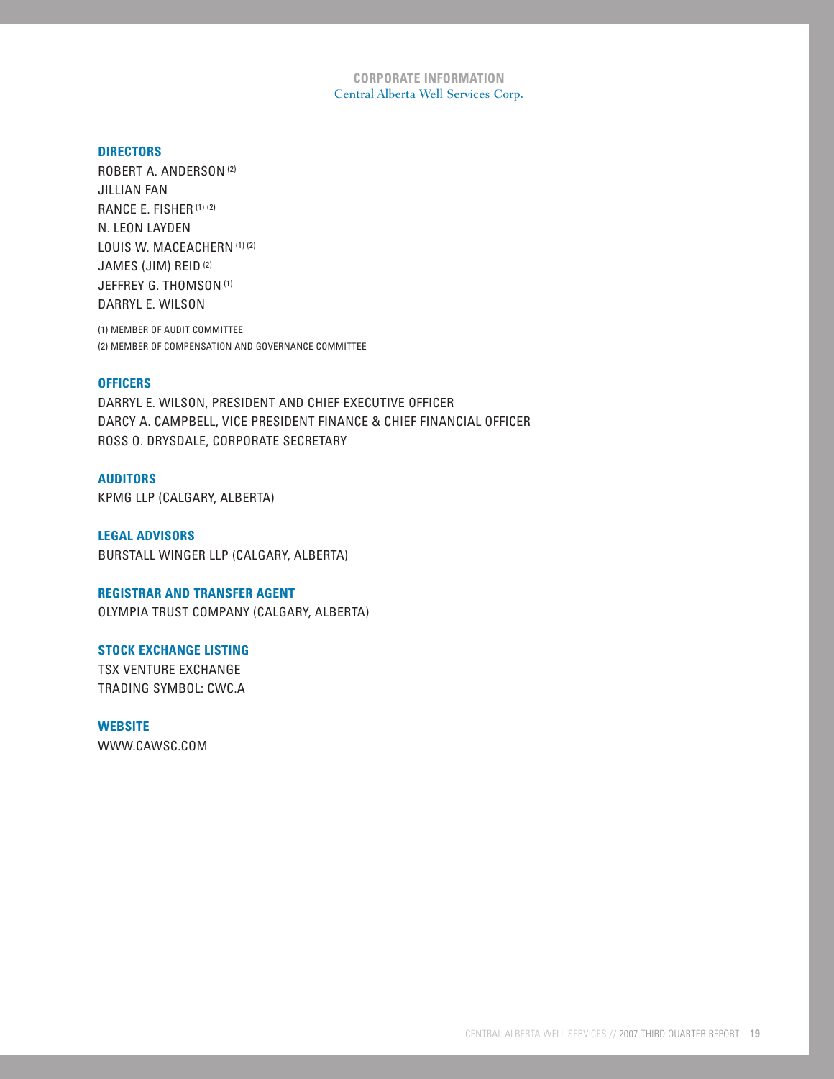**CORPORATE INFORMATION** Central Alberta Well Services Corp.

## **DIRECTORS**

ROBERT A. ANDERSON (2) JILLIAN FAN RANCE E. FISHER (1) (2) N. LEON LAYDEN LOUIS W. MACEACHERN (1) (2) JAMES (JIM) REID (2) JEFFREY G. THOMSON<sup>(1)</sup> DARRYL E. WILSON

(1) MEMBER OF AUDIT COMMITTEE (2) MEMBER OF COMPENSATION AND GOVERNANCE COMMITTEE

## **OFFICERS**

DARRYL E. WILSON, PRESIDENT AND CHIEF EXECUTIVE OFFICER DARCY A. CAMPBELL, VICE PRESIDENT FINANCE & CHIEF FINANCIAL OFFICER ROSS O. DRYSDALE, CORPORATE SECRETARY

### **AUDITORS**

KPMG LLP (CALGARY, ALBERTA)

**LEGAL ADVISORS** BURSTALL WINGER LLP (CALGARY, ALBERTA)

## **REGISTRAR AND TRANSFER AGENT**

OLYMPIA TRUST COMPANY (CALGARY, ALBERTA)

#### **STOCK EXCHANGE LISTING**

TSX VENTURE EXCHANGE TRADING SYMBOL: CWC.A

# **WEBSITE**

WWW.CAWSC.COM